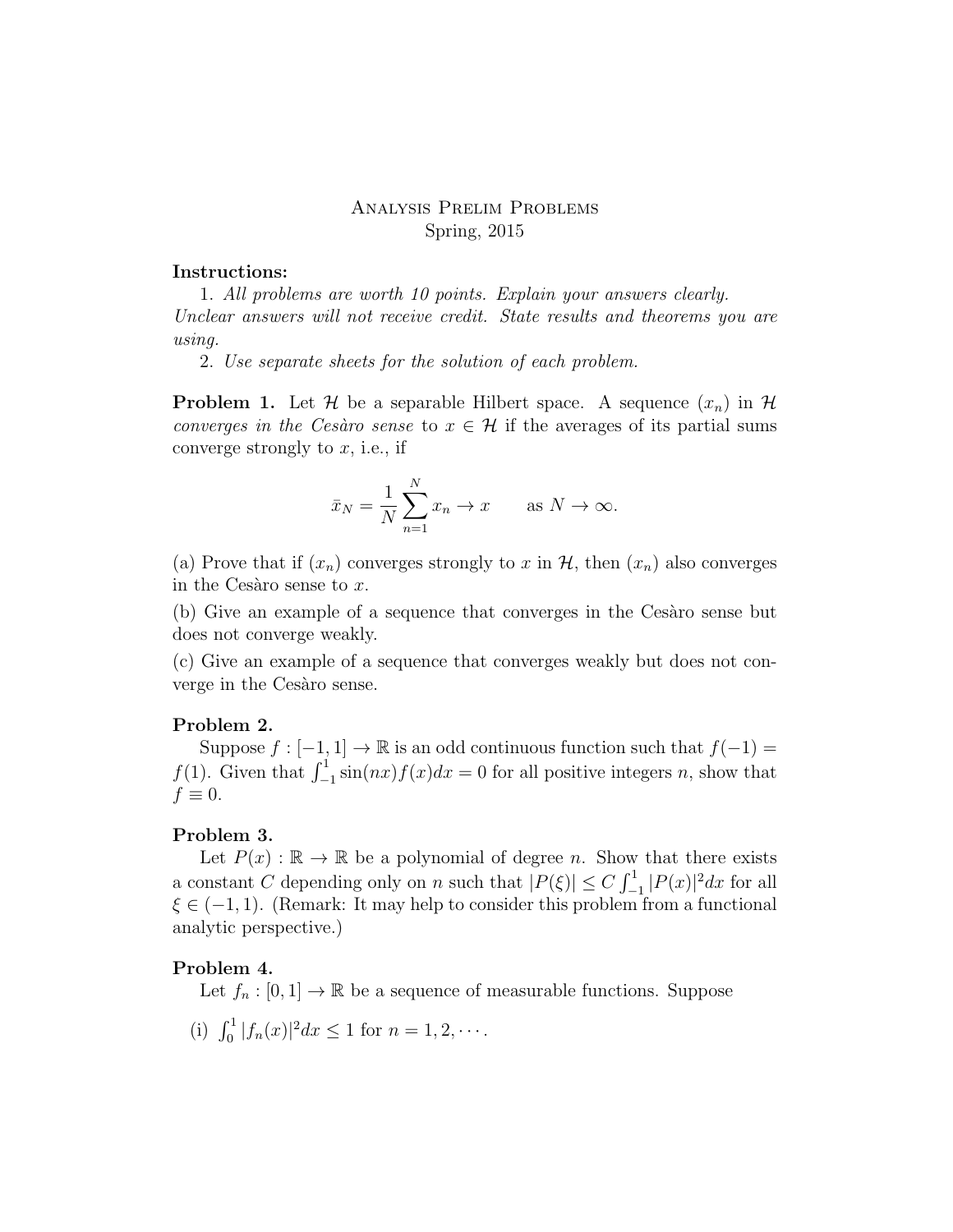# Analysis Prelim Problems Spring, 2015

### Instructions:

1. All problems are worth 10 points. Explain your answers clearly. Unclear answers will not receive credit. State results and theorems you are using.

2. Use separate sheets for the solution of each problem.

**Problem 1.** Let H be a separable Hilbert space. A sequence  $(x_n)$  in H converges in the Cesàro sense to  $x \in \mathcal{H}$  if the averages of its partial sums converge strongly to  $x$ , i.e., if

$$
\bar{x}_N = \frac{1}{N} \sum_{n=1}^N x_n \to x \quad \text{as } N \to \infty.
$$

(a) Prove that if  $(x_n)$  converges strongly to x in  $H$ , then  $(x_n)$  also converges in the Cesàro sense to  $x$ .

(b) Give an example of a sequence that converges in the Cesaro sense but does not converge weakly.

(c) Give an example of a sequence that converges weakly but does not converge in the Cesaro sense.

#### Problem 2.

Suppose  $f : [-1, 1] \to \mathbb{R}$  is an odd continuous function such that  $f(-1) =$  $f(1)$ . Given that  $\int_{-1}^{1} \sin(nx)f(x)dx = 0$  for all positive integers n, show that  $f \equiv 0.$ 

### Problem 3.

Let  $P(x): \mathbb{R} \to \mathbb{R}$  be a polynomial of degree n. Show that there exists a constant C depending only on n such that  $|P(\xi)| \leq C \int_{-1}^{1} |P(x)|^2 dx$  for all  $\xi \in (-1, 1)$ . (Remark: It may help to consider this problem from a functional analytic perspective.)

#### Problem 4.

Let  $f_n : [0, 1] \to \mathbb{R}$  be a sequence of measurable functions. Suppose

(i)  $\int_0^1 |f_n(x)|^2 dx \le 1$  for  $n = 1, 2, \cdots$ .